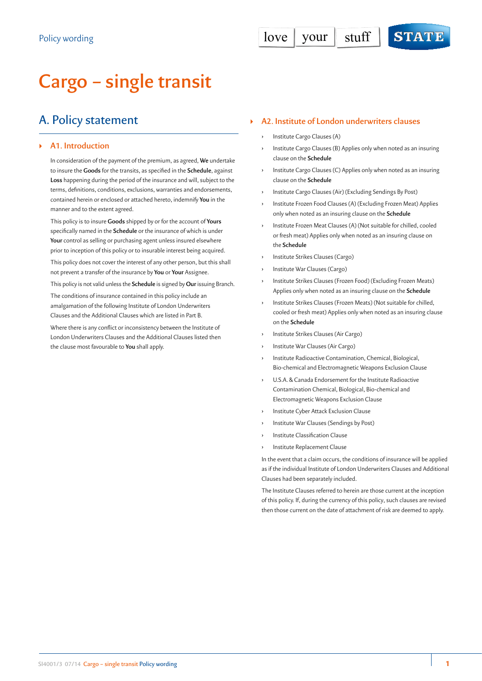# **Cargo – single transit**

## A. Policy statement

## ` **A1. Introduction**

In consideration of the payment of the premium, as agreed, **We** undertake to insure the **Goods** for the transits, as specified in the **Schedule**, against **Loss** happening during the period of the insurance and will, subject to the terms, definitions, conditions, exclusions, warranties and endorsements, contained herein or enclosed or attached hereto, indemnify **You** in the manner and to the extent agreed.

This policy is to insure **Goods** shipped by or for the account of **Yours** specifically named in the **Schedule** or the insurance of which is under **Your** control as selling or purchasing agent unless insured elsewhere prior to inception of this policy or to insurable interest being acquired.

This policy does not cover the interest of any other person, but this shall not prevent a transfer of the insurance by **You** or **Your** Assignee.

This policy is not valid unless the **Schedule** is signed by **Our** issuing Branch.

The conditions of insurance contained in this policy include an amalgamation of the following Institute of London Underwriters Clauses and the Additional Clauses which are listed in Part B.

Where there is any conflict or inconsistency between the Institute of London Underwriters Clauses and the Additional Clauses listed then the clause most favourable to **You** shall apply.

#### ` **A2. Institute of London underwriters clauses**

- **›** Institute Cargo Clauses (A)
- **›** Institute Cargo Clauses (B) Applies only when noted as an insuring clause on the **Schedule**
- **›** Institute Cargo Clauses (C) Applies only when noted as an insuring clause on the **Schedule**
- **›** Institute Cargo Clauses (Air) (Excluding Sendings By Post)
- **›** Institute Frozen Food Clauses (A) (Excluding Frozen Meat) Applies only when noted as an insuring clause on the **Schedule**
- **›** Institute Frozen Meat Clauses (A) (Not suitable for chilled, cooled or fresh meat) Applies only when noted as an insuring clause on the **Schedule**
- **›** Institute Strikes Clauses (Cargo)
- **›** Institute War Clauses (Cargo)
- **›** Institute Strikes Clauses (Frozen Food) (Excluding Frozen Meats) Applies only when noted as an insuring clause on the **Schedule**
- **›** Institute Strikes Clauses (Frozen Meats) (Not suitable for chilled, cooled or fresh meat) Applies only when noted as an insuring clause on the **Schedule**
- **›** Institute Strikes Clauses (Air Cargo)
- **›** Institute War Clauses (Air Cargo)
- **›** Institute Radioactive Contamination, Chemical, Biological, Bio-chemical and Electromagnetic Weapons Exclusion Clause
- **›** U.S.A. & Canada Endorsement for the Institute Radioactive Contamination Chemical, Biological, Bio-chemical and Electromagnetic Weapons Exclusion Clause
- **›** Institute Cyber Attack Exclusion Clause
- **›** Institute War Clauses (Sendings by Post)
- **›** Institute Classification Clause
- **›** Institute Replacement Clause

In the event that a claim occurs, the conditions of insurance will be applied as if the individual Institute of London Underwriters Clauses and Additional Clauses had been separately included.

The Institute Clauses referred to herein are those current at the inception of this policy. If, during the currency of this policy, such clauses are revised then those current on the date of attachment of risk are deemed to apply.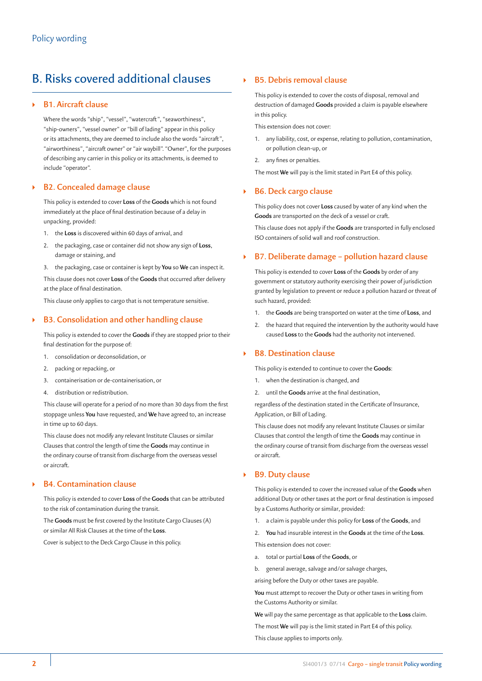## B. Risks covered additional clauses

## ` **B1. Aircraft clause**

Where the words "ship", "vessel", "watercraft", "seaworthiness", "ship-owners", "vessel owner" or "bill of lading" appear in this policy or its attachments, they are deemed to include also the words "aircraft", "airworthiness", "aircraft owner" or "air waybill". "Owner", for the purposes of describing any carrier in this policy or its attachments, is deemed to include "operator".

### ` **B2. Concealed damage clause**

This policy is extended to cover **Loss** of the **Goods** which is not found immediately at the place of final destination because of a delay in unpacking, provided:

- 1. the **Loss** is discovered within 60 days of arrival, and
- 2. the packaging, case or container did not show any sign of **Loss**, damage or staining, and
- 3. the packaging, case or container is kept by **You** so **We** can inspect it.

This clause does not cover **Loss** of the **Goods** that occurred after delivery at the place of final destination.

This clause only applies to cargo that is not temperature sensitive.

## ` **B3. Consolidation and other handling clause**

This policy is extended to cover the **Goods** if they are stopped prior to their final destination for the purpose of:

- 1. consolidation or deconsolidation, or
- 2. packing or repacking, or
- 3. containerisation or de-containerisation, or
- 4. distribution or redistribution.

This clause will operate for a period of no more than 30 days from the first stoppage unless **You** have requested, and **We** have agreed to, an increase in time up to 60 days.

This clause does not modify any relevant Institute Clauses or similar Clauses that control the length of time the **Goods** may continue in the ordinary course of transit from discharge from the overseas vessel or aircraft.

#### ` **B4. Contamination clause**

This policy is extended to cover **Loss** of the **Goods** that can be attributed to the risk of contamination during the transit.

The **Goods** must be first covered by the Institute Cargo Clauses (A) or similar All Risk Clauses at the time of the **Loss**.

Cover is subject to the Deck Cargo Clause in this policy.

## ` **B5. Debris removal clause**

This policy is extended to cover the costs of disposal, removal and destruction of damaged **Goods** provided a claim is payable elsewhere in this policy.

This extension does not cover:

- 1. any liability, cost, or expense, relating to pollution, contamination, or pollution clean-up, or
- 2. any fines or penalties.

The most **We** will pay is the limit stated in Part E4 of this policy.

### ` **B6. Deck cargo clause**

This policy does not cover **Loss** caused by water of any kind when the **Goods** are transported on the deck of a vessel or craft.

This clause does not apply if the **Goods** are transported in fully enclosed ISO containers of solid wall and roof construction.

### ` **B7. Deliberate damage – pollution hazard clause**

This policy is extended to cover **Loss** of the **Goods** by order of any government or statutory authority exercising their power of jurisdiction granted by legislation to prevent or reduce a pollution hazard or threat of such hazard, provided:

- 1. the **Goods** are being transported on water at the time of **Loss**, and
- 2. the hazard that required the intervention by the authority would have caused **Loss** to the **Goods** had the authority not intervened.

### ` **B8. Destination clause**

This policy is extended to continue to cover the **Goods**:

- when the destination is changed, and
- 2. until the **Goods** arrive at the final destination,

regardless of the destination stated in the Certificate of Insurance, Application, or Bill of Lading.

This clause does not modify any relevant Institute Clauses or similar Clauses that control the length of time the **Goods** may continue in the ordinary course of transit from discharge from the overseas vessel or aircraft.

## ` **B9. Duty clause**

This policy is extended to cover the increased value of the **Goods** when additional Duty or other taxes at the port or final destination is imposed by a Customs Authority or similar, provided:

- 1. a claim is payable under this policy for **Loss** of the **Goods**, and
- 2. **You** had insurable interest in the **Goods** at the time of the **Loss**.

This extension does not cover:

- a. total or partial **Loss** of the **Goods**, or
- b. general average, salvage and/or salvage charges,

arising before the Duty or other taxes are payable.

**You** must attempt to recover the Duty or other taxes in writing from the Customs Authority or similar.

**We** will pay the same percentage as that applicable to the **Loss** claim.

The most **We** will pay is the limit stated in Part E4 of this policy.

This clause applies to imports only.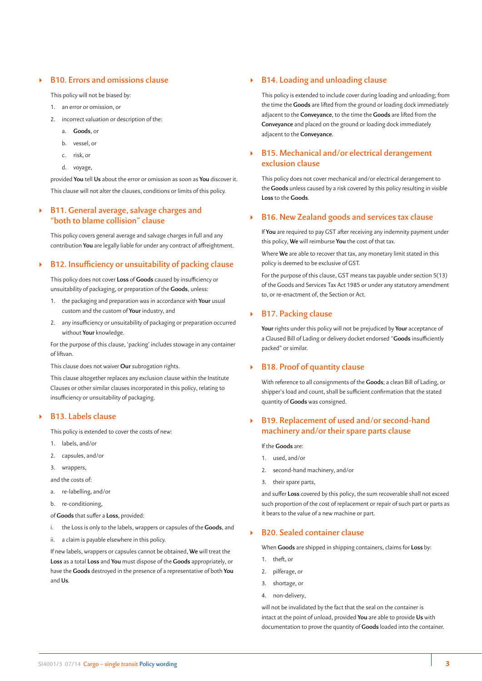## ` **B10. Errors and omissions clause**

This policy will not be biased by:

- 1. an error or omission, or
- 2. incorrect valuation or description of the:
	- a. **Goods**, or
	- b. vessel, or
	- c. risk, or
	- d. voyage,

provided **You** tell **Us** about the error or omission as soon as **You** discover it. This clause will not alter the clauses, conditions or limits of this policy.

## ` **B11. General average, salvage charges and "both to blame collision" clause**

This policy covers general average and salvage charges in full and any contribution **You** are legally liable for under any contract of affreightment.

### ` **B12. Insufficiency or unsuitability of packing clause**

This policy does not cover **Loss** of **Goods** caused by insufficiency or unsuitability of packaging, or preparation of the **Goods**, unless:

- 1. the packaging and preparation was in accordance with **Your** usual custom and the custom of **Your** industry, and
- 2. any insufficiency or unsuitability of packaging or preparation occurred without **Your** knowledge.

For the purpose of this clause, 'packing' includes stowage in any container of liftvan.

This clause does not waiver **Our** subrogation rights.

This clause altogether replaces any exclusion clause within the Institute Clauses or other similar clauses incorporated in this policy, relating to insufficiency or unsuitability of packaging.

#### ` **B13. Labels clause**

This policy is extended to cover the costs of new:

- 1. labels, and/or
- 2. capsules, and/or
- 3. wrappers,
- and the costs of:
- a. re-labelling, and/or
- b. re-conditioning,

of **Goods** that suffer a **Loss**, provided:

- i. the Loss is only to the labels, wrappers or capsules of the **Goods**, and
- ii. a claim is payable elsewhere in this policy.

If new labels, wrappers or capsules cannot be obtained, **We** will treat the **Loss** as a total **Loss** and **You** must dispose of the **Goods** appropriately, or have the **Goods** destroyed in the presence of a representative of both **You** and **Us**.

### ` **B14. Loading and unloading clause**

This policy is extended to include cover during loading and unloading; from the time the **Goods** are lifted from the ground or loading dock immediately adjacent to the **Conveyance**, to the time the **Goods** are lifted from the **Conveyance** and placed on the ground or loading dock immediately adjacent to the **Conveyance**.

## ` **B15. Mechanical and/or electrical derangement exclusion clause**

This policy does not cover mechanical and/or electrical derangement to the **Goods** unless caused by a risk covered by this policy resulting in visible **Loss** to the **Goods**.

## ` **B16. New Zealand goods and services tax clause**

If **You** are required to pay GST after receiving any indemnity payment under this policy, **We** will reimburse **You** the cost of that tax.

Where **We** are able to recover that tax, any monetary limit stated in this policy is deemed to be exclusive of GST.

For the purpose of this clause, GST means tax payable under section 5(13) of the Goods and Services Tax Act 1985 or under any statutory amendment to, or re-enactment of, the Section or Act.

### ` **B17. Packing clause**

**Your** rights under this policy will not be prejudiced by **Your** acceptance of a Claused Bill of Lading or delivery docket endorsed "**Goods** insufficiently packed" or similar.

### ` **B18. Proof of quantity clause**

With reference to all consignments of the **Goods**; a clean Bill of Lading, or shipper's load and count, shall be sufficient confirmation that the stated quantity of **Goods** was consigned.

## ` **B19. Replacement of used and/or second-hand machinery and/or their spare parts clause**

If the **Goods** are:

- 1. used, and/or
- 2. second-hand machinery, and/or
- 3. their spare parts,

and suffer **Loss** covered by this policy, the sum recoverable shall not exceed such proportion of the cost of replacement or repair of such part or parts as it bears to the value of a new machine or part.

## ` **B20. Sealed container clause**

When **Goods** are shipped in shipping containers, claims for **Loss** by:

- 1. theft, or
- 2. pilferage, or
- 3. shortage, or
- 4. non-delivery,

will not be invalidated by the fact that the seal on the container is intact at the point of unload, provided **You** are able to provide **Us** with documentation to prove the quantity of **Goods** loaded into the container.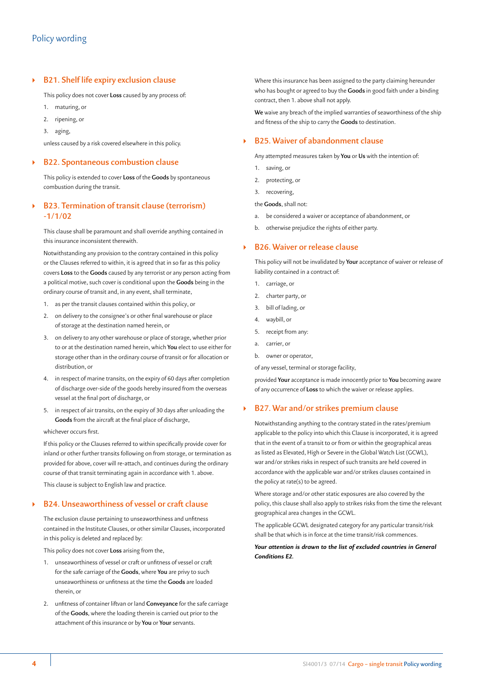## ` **B21. Shelf life expiry exclusion clause**

This policy does not cover **Loss** caused by any process of:

- 1. maturing, or
- 2. ripening, or
- 3. aging,

unless caused by a risk covered elsewhere in this policy.

#### ` **B22. Spontaneous combustion clause**

This policy is extended to cover **Loss** of the **Goods** by spontaneous combustion during the transit.

## ` **B23. Termination of transit clause (terrorism) -1/1/02**

This clause shall be paramount and shall override anything contained in this insurance inconsistent therewith.

Notwithstanding any provision to the contrary contained in this policy or the Clauses referred to within, it is agreed that in so far as this policy covers **Loss** to the **Goods** caused by any terrorist or any person acting from a political motive, such cover is conditional upon the **Goods** being in the ordinary course of transit and, in any event, shall terminate,

- 1. as per the transit clauses contained within this policy, or
- 2. on delivery to the consignee's or other final warehouse or place of storage at the destination named herein, or
- 3. on delivery to any other warehouse or place of storage, whether prior to or at the destination named herein, which **You** elect to use either for storage other than in the ordinary course of transit or for allocation or distribution, or
- 4. in respect of marine transits, on the expiry of 60 days after completion of discharge over-side of the goods hereby insured from the overseas vessel at the final port of discharge, or
- 5. in respect of air transits, on the expiry of 30 days after unloading the **Goods** from the aircraft at the final place of discharge,

#### whichever occurs first.

If this policy or the Clauses referred to within specifically provide cover for inland or other further transits following on from storage, or termination as provided for above, cover will re-attach, and continues during the ordinary course of that transit terminating again in accordance with 1. above. This clause is subject to English law and practice.

#### ` **B24. Unseaworthiness of vessel or craft clause**

The exclusion clause pertaining to unseaworthiness and unfitness contained in the Institute Clauses, or other similar Clauses, incorporated in this policy is deleted and replaced by:

This policy does not cover **Loss** arising from the,

- 1. unseaworthiness of vessel or craft or unfitness of vessel or craft for the safe carriage of the **Goods**, where **You** are privy to such unseaworthiness or unfitness at the time the **Goods** are loaded therein, or
- 2. unfitness of container liftvan or land **Conveyance** for the safe carriage of the **Goods**, where the loading therein is carried out prior to the attachment of this insurance or by **You** or **Your** servants.

Where this insurance has been assigned to the party claiming hereunder who has bought or agreed to buy the **Goods** in good faith under a binding contract, then 1. above shall not apply.

**We** waive any breach of the implied warranties of seaworthiness of the ship and fitness of the ship to carry the **Goods** to destination.

#### ` **B25. Waiver of abandonment clause**

Any attempted measures taken by **You** or **Us** with the intention of:

- 1. saving, or
- 2. protecting, or
- 3. recovering,

the **Goods**, shall not:

- a. be considered a waiver or acceptance of abandonment, or
- b. otherwise prejudice the rights of either party.

#### ` **B26. Waiver or release clause**

This policy will not be invalidated by **Your** acceptance of waiver or release of liability contained in a contract of:

- 1. carriage, or
- 2. charter party, or
- 3. bill of lading, or
- 4. waybill, or
- 5. receipt from any:
- a. carrier, or
- b. owner or operator,

of any vessel, terminal or storage facility,

provided **Your** acceptance is made innocently prior to **You** becoming aware of any occurrence of **Loss** to which the waiver or release applies.

#### ` **B27. War and/or strikes premium clause**

Notwithstanding anything to the contrary stated in the rates/premium applicable to the policy into which this Clause is incorporated, it is agreed that in the event of a transit to or from or within the geographical areas as listed as Elevated, High or Severe in the Global Watch List (GCWL), war and/or strikes risks in respect of such transits are held covered in accordance with the applicable war and/or strikes clauses contained in the policy at rate(s) to be agreed.

Where storage and/or other static exposures are also covered by the policy, this clause shall also apply to strikes risks from the time the relevant geographical area changes in the GCWL.

The applicable GCWL designated category for any particular transit/risk shall be that which is in force at the time transit/risk commences.

#### *Your attention is drawn to the list of excluded countries in General Conditions E2.*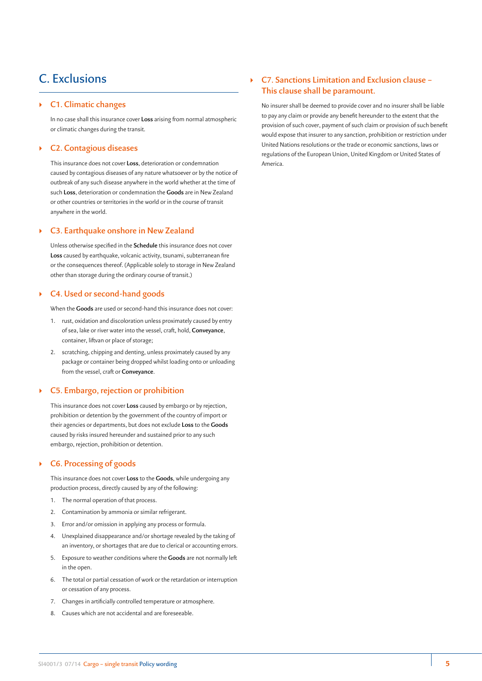## C. Exclusions

#### ` **C1. Climatic changes**

In no case shall this insurance cover **Loss** arising from normal atmospheric or climatic changes during the transit.

#### ` **C2. Contagious diseases**

This insurance does not cover **Loss**, deterioration or condemnation caused by contagious diseases of any nature whatsoever or by the notice of outbreak of any such disease anywhere in the world whether at the time of such **Loss**, deterioration or condemnation the **Goods** are in New Zealand or other countries or territories in the world or in the course of transit anywhere in the world.

#### ` **C3. Earthquake onshore in New Zealand**

Unless otherwise specified in the **Schedule** this insurance does not cover **Loss** caused by earthquake, volcanic activity, tsunami, subterranean fire or the consequences thereof. (Applicable solely to storage in New Zealand other than storage during the ordinary course of transit.)

#### ` **C4. Used or second-hand goods**

When the **Goods** are used or second-hand this insurance does not cover:

- 1. rust, oxidation and discoloration unless proximately caused by entry of sea, lake or river water into the vessel, craft, hold, **Conveyance**, container, liftvan or place of storage;
- 2. scratching, chipping and denting, unless proximately caused by any package or container being dropped whilst loading onto or unloading from the vessel, craft or **Conveyance**.

#### ` **C5. Embargo, rejection or prohibition**

This insurance does not cover **Loss** caused by embargo or by rejection, prohibition or detention by the government of the country of import or their agencies or departments, but does not exclude **Loss** to the **Goods** caused by risks insured hereunder and sustained prior to any such embargo, rejection, prohibition or detention.

## ` **C6. Processing of goods**

This insurance does not cover **Loss** to the **Goods**, while undergoing any production process, directly caused by any of the following:

- 1. The normal operation of that process.
- 2. Contamination by ammonia or similar refrigerant.
- 3. Error and/or omission in applying any process or formula.
- 4. Unexplained disappearance and/or shortage revealed by the taking of an inventory, or shortages that are due to clerical or accounting errors.
- 5. Exposure to weather conditions where the **Goods** are not normally left in the open.
- 6. The total or partial cessation of work or the retardation or interruption or cessation of any process.
- 7. Changes in artificially controlled temperature or atmosphere.
- 8. Causes which are not accidental and are foreseeable.

## ` **C7. Sanctions Limitation and Exclusion clause – This clause shall be paramount.**

No insurer shall be deemed to provide cover and no insurer shall be liable to pay any claim or provide any benefit hereunder to the extent that the provision of such cover, payment of such claim or provision of such benefit would expose that insurer to any sanction, prohibition or restriction under United Nations resolutions or the trade or economic sanctions, laws or regulations of the European Union, United Kingdom or United States of America.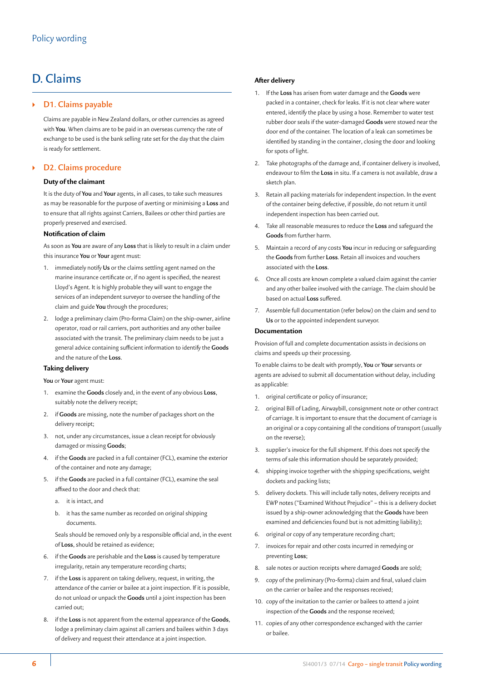## D. Claims

## ` **D1. Claims payable**

Claims are payable in New Zealand dollars, or other currencies as agreed with **You**. When claims are to be paid in an overseas currency the rate of exchange to be used is the bank selling rate set for the day that the claim is ready for settlement.

## ` **D2. Claims procedure**

#### **Duty of the claimant**

It is the duty of **You** and **Your** agents, in all cases, to take such measures as may be reasonable for the purpose of averting or minimising a **Loss** and to ensure that all rights against Carriers, Bailees or other third parties are properly preserved and exercised.

#### **Notification of claim**

As soon as **You** are aware of any **Loss** that is likely to result in a claim under this insurance **You** or **Your** agent must:

- 1. immediately notify **Us** or the claims settling agent named on the marine insurance certificate or, if no agent is specified, the nearest Lloyd's Agent. It is highly probable they will want to engage the services of an independent surveyor to oversee the handling of the claim and guide **You** through the procedures;
- 2. lodge a preliminary claim (Pro-forma Claim) on the ship-owner, airline operator, road or rail carriers, port authorities and any other bailee associated with the transit. The preliminary claim needs to be just a general advice containing sufficient information to identify the **Goods** and the nature of the **Loss**.

#### **Taking delivery**

#### **You** or **Your** agent must:

- 1. examine the **Goods** closely and, in the event of any obvious **Loss**, suitably note the delivery receipt;
- 2. if **Goods** are missing, note the number of packages short on the delivery receipt;
- 3. not, under any circumstances, issue a clean receipt for obviously damaged or missing **Goods**;
- 4. if the **Goods** are packed in a full container (FCL), examine the exterior of the container and note any damage;
- 5. if the **Goods** are packed in a full container (FCL), examine the seal affixed to the door and check that:
	- a. it is intact, and
	- b. it has the same number as recorded on original shipping documents.

Seals should be removed only by a responsible official and, in the event of **Loss**, should be retained as evidence;

- 6. if the **Goods** are perishable and the **Loss** is caused by temperature irregularity, retain any temperature recording charts;
- 7. if the **Loss** is apparent on taking delivery, request, in writing, the attendance of the carrier or bailee at a joint inspection. If it is possible, do not unload or unpack the **Goods** until a joint inspection has been carried out;
- 8. if the **Loss** is not apparent from the external appearance of the **Goods**, lodge a preliminary claim against all carriers and bailees within 3 days of delivery and request their attendance at a joint inspection.

### **After delivery**

- 1. If the **Loss** has arisen from water damage and the **Goods** were packed in a container, check for leaks. If it is not clear where water entered, identify the place by using a hose. Remember to water test rubber door seals if the water-damaged **Goods** were stowed near the door end of the container. The location of a leak can sometimes be identified by standing in the container, closing the door and looking for spots of light.
- 2. Take photographs of the damage and, if container delivery is involved, endeavour to film the **Loss** in situ. If a camera is not available, draw a sketch plan.
- 3. Retain all packing materials for independent inspection. In the event of the container being defective, if possible, do not return it until independent inspection has been carried out.
- 4. Take all reasonable measures to reduce the **Loss** and safeguard the **Goods** from further harm.
- 5. Maintain a record of any costs **You** incur in reducing or safeguarding the **Goods** from further **Loss**. Retain all invoices and vouchers associated with the **Loss**.
- 6. Once all costs are known complete a valued claim against the carrier and any other bailee involved with the carriage. The claim should be based on actual **Loss** suffered.
- 7. Assemble full documentation (refer below) on the claim and send to **Us** or to the appointed independent surveyor.

#### **Documentation**

Provision of full and complete documentation assists in decisions on claims and speeds up their processing.

To enable claims to be dealt with promptly, **You** or **Your** servants or agents are advised to submit all documentation without delay, including as applicable:

- 1. original certificate or policy of insurance;
- 2. original Bill of Lading, Airwaybill, consignment note or other contract of carriage. It is important to ensure that the document of carriage is an original or a copy containing all the conditions of transport (usually on the reverse);
- 3. supplier's invoice for the full shipment. If this does not specify the terms of sale this information should be separately provided;
- 4. shipping invoice together with the shipping specifications, weight dockets and packing lists;
- 5. delivery dockets. This will include tally notes, delivery receipts and EWP notes ("Examined Without Prejudice" – this is a delivery docket issued by a ship-owner acknowledging that the **Goods** have been examined and deficiencies found but is not admitting liability);
- 6. original or copy of any temperature recording chart;
- 7. invoices for repair and other costs incurred in remedying or preventing **Loss**;
- 8. sale notes or auction receipts where damaged **Goods** are sold;
- 9. copy of the preliminary (Pro-forma) claim and final, valued claim on the carrier or bailee and the responses received;
- 10. copy of the invitation to the carrier or bailees to attend a joint inspection of the **Goods** and the response received;
- 11. copies of any other correspondence exchanged with the carrier or bailee.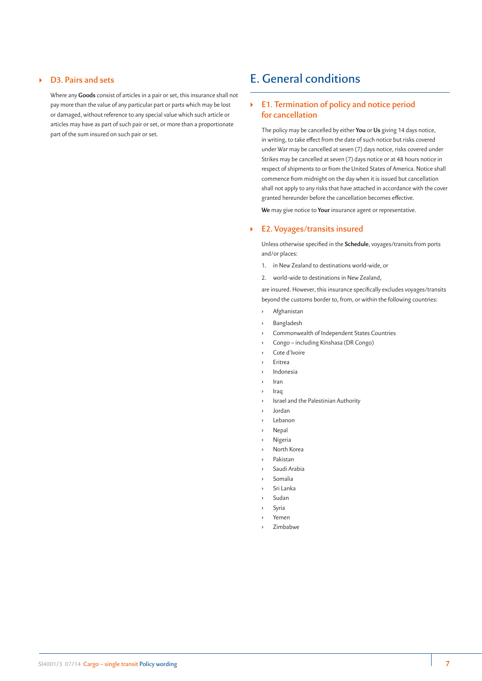## ` **D3. Pairs and sets**

Where any **Goods** consist of articles in a pair or set, this insurance shall not pay more than the value of any particular part or parts which may be lost or damaged, without reference to any special value which such article or articles may have as part of such pair or set, or more than a proportionate part of the sum insured on such pair or set.

## E. General conditions

## ` **E1. Termination of policy and notice period for cancellation**

The policy may be cancelled by either **You** or **Us** giving 14 days notice, in writing, to take effect from the date of such notice but risks covered under War may be cancelled at seven (7) days notice, risks covered under Strikes may be cancelled at seven (7) days notice or at 48 hours notice in respect of shipments to or from the United States of America. Notice shall commence from midnight on the day when it is issued but cancellation shall not apply to any risks that have attached in accordance with the cover granted hereunder before the cancellation becomes effective.

**We** may give notice to **Your** insurance agent or representative.

#### ` **E2. Voyages/transits insured**

Unless otherwise specified in the **Schedule**, voyages/transits from ports and/or places:

- 1. in New Zealand to destinations world-wide, or
- 2. world-wide to destinations in New Zealand,

are insured. However, this insurance specifically excludes voyages/transits beyond the customs border to, from, or within the following countries:

- **›** Afghanistan
- **›** Bangladesh
- **›** Commonwealth of Independent States Countries
- **›** Congo including Kinshasa (DR Congo)
- **›** Cote d'Ivoire
- **›** Eritrea
- **›** Indonesia
- **›** Iran
- **›** Iraq
- **›** Israel and the Palestinian Authority
- **›** Jordan
- **›** Lebanon
- **›** Nepal
- **›** Nigeria
- **›** North Korea
- **›** Pakistan
- **›** Saudi Arabia
- **›** Somalia
- **›** Sri Lanka
- **›** Sudan
- **›** Syria
- **›** Yemen
- **›** Zimbabwe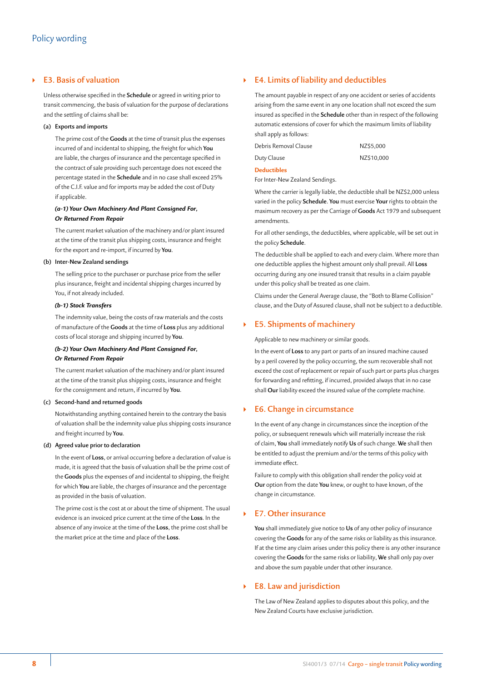## ` **E3. Basis of valuation**

Unless otherwise specified in the **Schedule** or agreed in writing prior to transit commencing, the basis of valuation for the purpose of declarations and the settling of claims shall be:

#### **(a) Exports and imports**

The prime cost of the **Goods** at the time of transit plus the expenses incurred of and incidental to shipping, the freight for which **You** are liable, the charges of insurance and the percentage specified in the contract of sale providing such percentage does not exceed the percentage stated in the **Schedule** and in no case shall exceed 25% of the C.I.F. value and for imports may be added the cost of Duty if applicable.

#### *(a-1) Your Own Machinery And Plant Consigned For, Or Returned From Repair*

The current market valuation of the machinery and/or plant insured at the time of the transit plus shipping costs, insurance and freight for the export and re-import, if incurred by **You**.

#### **(b) Inter-New Zealand sendings**

The selling price to the purchaser or purchase price from the seller plus insurance, freight and incidental shipping charges incurred by You, if not already included.

#### *(b-1) Stock Transfers*

The indemnity value, being the costs of raw materials and the costs of manufacture of the **Goods** at the time of **Loss** plus any additional costs of local storage and shipping incurred by **You**.

### *(b-2) Your Own Machinery And Plant Consigned For, Or Returned From Repair*

The current market valuation of the machinery and/or plant insured at the time of the transit plus shipping costs, insurance and freight for the consignment and return, if incurred by **You**.

#### **(c) Second-hand and returned goods**

Notwithstanding anything contained herein to the contrary the basis of valuation shall be the indemnity value plus shipping costs insurance and freight incurred by **You**.

#### **(d) Agreed value prior to declaration**

In the event of **Loss**, or arrival occurring before a declaration of value is made, it is agreed that the basis of valuation shall be the prime cost of the **Goods** plus the expenses of and incidental to shipping, the freight for which **You** are liable, the charges of insurance and the percentage as provided in the basis of valuation.

The prime cost is the cost at or about the time of shipment. The usual evidence is an invoiced price current at the time of the **Loss**. In the absence of any invoice at the time of the **Loss**, the prime cost shall be the market price at the time and place of the **Loss**.

## ` **E4. Limits of liability and deductibles**

The amount payable in respect of any one accident or series of accidents arising from the same event in any one location shall not exceed the sum insured as specified in the **Schedule** other than in respect of the following automatic extensions of cover for which the maximum limits of liability shall apply as follows:

| Debris Removal Clause | NZ\$5,000  |
|-----------------------|------------|
| Duty Clause           | NZ\$10,000 |

## **Deductibles**

For Inter-New Zealand Sendings.

Where the carrier is legally liable, the deductible shall be NZ\$2,000 unless varied in the policy **Schedule**. **You** must exercise **Your** rights to obtain the maximum recovery as per the Carriage of **Goods** Act 1979 and subsequent amendments.

For all other sendings, the deductibles, where applicable, will be set out in the policy **Schedule**.

The deductible shall be applied to each and every claim. Where more than one deductible applies the highest amount only shall prevail. All **Loss** occurring during any one insured transit that results in a claim payable under this policy shall be treated as one claim.

Claims under the General Average clause, the "Both to Blame Collision" clause, and the Duty of Assured clause, shall not be subject to a deductible.

#### ` **E5. Shipments of machinery**

Applicable to new machinery or similar goods.

In the event of **Loss** to any part or parts of an insured machine caused by a peril covered by the policy occurring, the sum recoverable shall not exceed the cost of replacement or repair of such part or parts plus charges for forwarding and refitting, if incurred, provided always that in no case shall **Our** liability exceed the insured value of the complete machine.

#### ` **E6. Change in circumstance**

In the event of any change in circumstances since the inception of the policy, or subsequent renewals which will materially increase the risk of claim, **You** shall immediately notify **Us** of such change. **We** shall then be entitled to adjust the premium and/or the terms of this policy with immediate effect.

Failure to comply with this obligation shall render the policy void at **Our** option from the date **You** knew, or ought to have known, of the change in circumstance.

#### ` **E7. Other insurance**

**You** shall immediately give notice to **Us** of any other policy of insurance covering the **Goods** for any of the same risks or liability as this insurance. If at the time any claim arises under this policy there is any other insurance covering the **Goods** for the same risks or liability, **We** shall only pay over and above the sum payable under that other insurance.

#### ` **E8. Law and jurisdiction**

The Law of New Zealand applies to disputes about this policy, and the New Zealand Courts have exclusive jurisdiction.